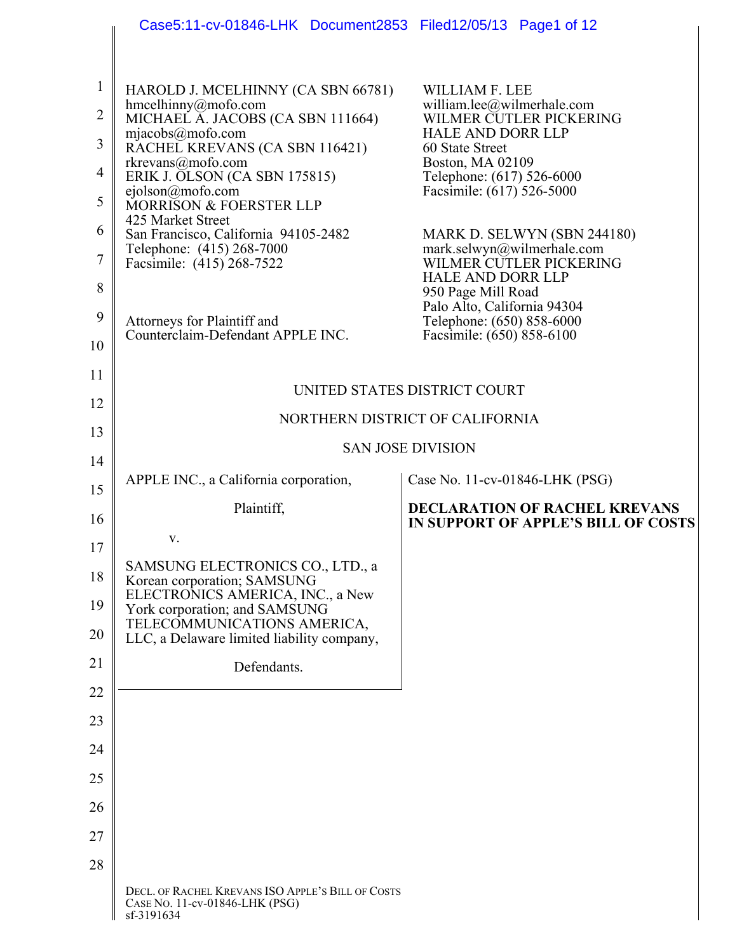|                | Case5:11-cv-01846-LHK Document2853 Filed12/05/13 Page1 of 12                                      |                                                                                   |
|----------------|---------------------------------------------------------------------------------------------------|-----------------------------------------------------------------------------------|
| 1              |                                                                                                   |                                                                                   |
| $\overline{2}$ | HAROLD J. MCELHINNY (CA SBN 66781)<br>$h$ mcelhinny@mofo.com<br>MICHAEL A. JACOBS (CA SBN 111664) | <b>WILLIAM F. LEE</b><br>william.lee@wilmerhale.com<br>WILMER CUTLER PICKERING    |
| 3              | mjaecobs@mofo.com<br>RACHEL KREVANS (CA SBN 116421)                                               | <b>HALE AND DORR LLP</b><br>60 State Street                                       |
| $\overline{4}$ | rkrevans@mofo.com<br>ERIK J. OLSON (CA SBN 175815)                                                | Boston, MA 02109<br>Telephone: (617) 526-6000                                     |
| 5              | ejolson@mofo.com<br>MORRISON & FOERSTER LLP                                                       | Facsimile: (617) 526-5000                                                         |
| 6              | 425 Market Street<br>San Francisco, California 94105-2482                                         | MARK D. SELWYN (SBN 244180)                                                       |
| 7              | Telephone: (415) 268-7000<br>Facsimile: (415) 268-7522                                            | mark.selwyn@wilmerhale.com<br>WILMER CUTLER PICKERING<br><b>HALE AND DORR LLP</b> |
| 8              |                                                                                                   | 950 Page Mill Road<br>Palo Alto, California 94304                                 |
| 9<br>10        | Attorneys for Plaintiff and<br>Counterclaim-Defendant APPLE INC.                                  | Telephone: (650) 858-6000<br>Facsimile: (650) 858-6100                            |
| 11             |                                                                                                   |                                                                                   |
| 12             |                                                                                                   | UNITED STATES DISTRICT COURT                                                      |
| 13             |                                                                                                   | NORTHERN DISTRICT OF CALIFORNIA                                                   |
| 14             |                                                                                                   | <b>SAN JOSE DIVISION</b>                                                          |
| 15             | APPLE INC., a California corporation,                                                             | Case No. 11-cv-01846-LHK (PSG)                                                    |
| 16             | Plaintiff,                                                                                        | <b>DECLARATION OF RACHEL KREVANS</b><br>IN SUPPORT OF APPLE'S BILL OF COSTS       |
| 17             | V.                                                                                                |                                                                                   |
| 18             | SAMSUNG ELECTRONICS CO., LTD., a<br>Korean corporation; SAMSUNG                                   |                                                                                   |
| 19             | ELECTRONICS AMERICA, INC., a New<br>York corporation; and SAMSUNG<br>TELECOMMUNICATIONS AMERICA,  |                                                                                   |
| 20             | LLC, a Delaware limited liability company,                                                        |                                                                                   |
| 21             | Defendants.                                                                                       |                                                                                   |
| 22             |                                                                                                   |                                                                                   |
| 23             |                                                                                                   |                                                                                   |
| 24<br>25       |                                                                                                   |                                                                                   |
| 26             |                                                                                                   |                                                                                   |
| 27             |                                                                                                   |                                                                                   |
| 28             |                                                                                                   |                                                                                   |
|                | DECL. OF RACHEL KREVANS ISO APPLE'S BILL OF COSTS<br>CASE NO. 11-cv-01846-LHK (PSG)<br>sf-3191634 |                                                                                   |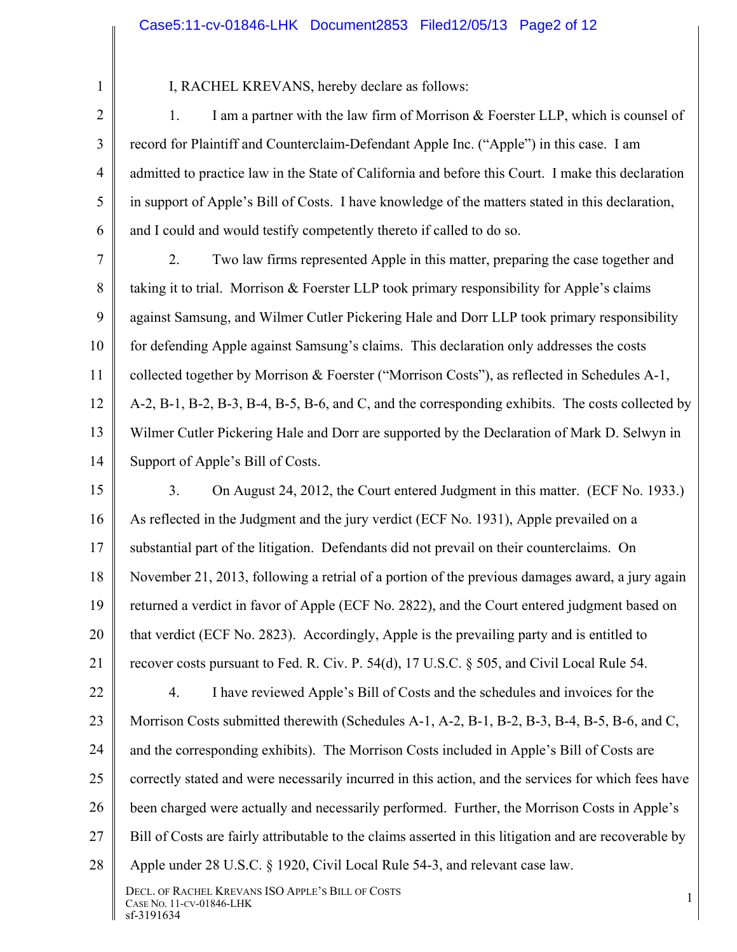1 2

3

4

5

6

I, RACHEL KREVANS, hereby declare as follows:

1. I am a partner with the law firm of Morrison & Foerster LLP, which is counsel of record for Plaintiff and Counterclaim-Defendant Apple Inc. ("Apple") in this case. I am admitted to practice law in the State of California and before this Court. I make this declaration in support of Apple's Bill of Costs. I have knowledge of the matters stated in this declaration, and I could and would testify competently thereto if called to do so.

7 8 9 10 11 12 13 14 2. Two law firms represented Apple in this matter, preparing the case together and taking it to trial. Morrison & Foerster LLP took primary responsibility for Apple's claims against Samsung, and Wilmer Cutler Pickering Hale and Dorr LLP took primary responsibility for defending Apple against Samsung's claims. This declaration only addresses the costs collected together by Morrison & Foerster ("Morrison Costs"), as reflected in Schedules A-1, A-2, B-1, B-2, B-3, B-4, B-5, B-6, and C, and the corresponding exhibits. The costs collected by Wilmer Cutler Pickering Hale and Dorr are supported by the Declaration of Mark D. Selwyn in Support of Apple's Bill of Costs.

15

16 17 18 19 20 21 22 23 3. On August 24, 2012, the Court entered Judgment in this matter. (ECF No. 1933.) As reflected in the Judgment and the jury verdict (ECF No. 1931), Apple prevailed on a substantial part of the litigation. Defendants did not prevail on their counterclaims. On November 21, 2013, following a retrial of a portion of the previous damages award, a jury again returned a verdict in favor of Apple (ECF No. 2822), and the Court entered judgment based on that verdict (ECF No. 2823). Accordingly, Apple is the prevailing party and is entitled to recover costs pursuant to Fed. R. Civ. P. 54(d), 17 U.S.C. § 505, and Civil Local Rule 54. 4. I have reviewed Apple's Bill of Costs and the schedules and invoices for the Morrison Costs submitted therewith (Schedules A-1, A-2, B-1, B-2, B-3, B-4, B-5, B-6, and C,

24 and the corresponding exhibits). The Morrison Costs included in Apple's Bill of Costs are

25 correctly stated and were necessarily incurred in this action, and the services for which fees have

26 been charged were actually and necessarily performed. Further, the Morrison Costs in Apple's

27 Bill of Costs are fairly attributable to the claims asserted in this litigation and are recoverable by

28 Apple under 28 U.S.C. § 1920, Civil Local Rule 54-3, and relevant case law.

DECL. OF RACHEL KREVANS ISO APPLE'S BILL OF COSTS DECL. OF NACHEL NKEVANS ISO APPLE'S DILL OF COSTS<br>CASE NO. 11-CV-01846-LHK 1 sf-3191634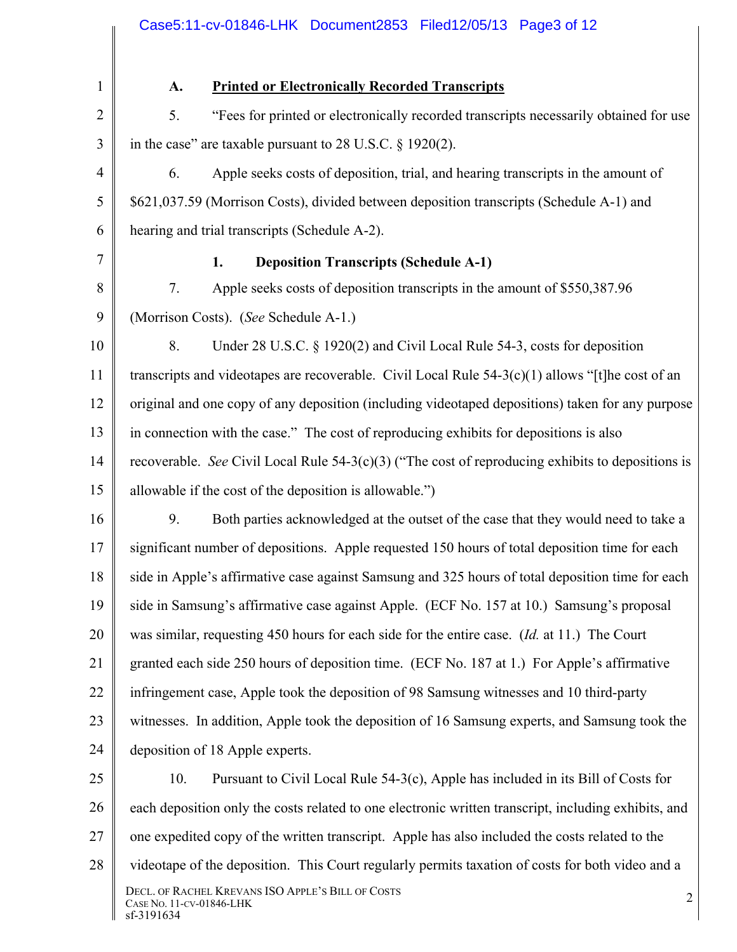|                | Case5:11-cv-01846-LHK Document2853 Filed12/05/13 Page3 of 12                                         |
|----------------|------------------------------------------------------------------------------------------------------|
| 1              | <b>Printed or Electronically Recorded Transcripts</b><br>A.                                          |
| $\overline{2}$ | 5.<br>"Fees for printed or electronically recorded transcripts necessarily obtained for use          |
| 3              | in the case" are taxable pursuant to $28$ U.S.C. $\S$ 1920(2).                                       |
| $\overline{4}$ | Apple seeks costs of deposition, trial, and hearing transcripts in the amount of<br>6.               |
| 5              | \$621,037.59 (Morrison Costs), divided between deposition transcripts (Schedule A-1) and             |
| 6              | hearing and trial transcripts (Schedule A-2).                                                        |
| 7              | 1.<br><b>Deposition Transcripts (Schedule A-1)</b>                                                   |
| 8              | Apple seeks costs of deposition transcripts in the amount of \$550,387.96<br>7.                      |
| 9              | (Morrison Costs). (See Schedule A-1.)                                                                |
| 10             | Under 28 U.S.C. § 1920(2) and Civil Local Rule 54-3, costs for deposition<br>8.                      |
| 11             | transcripts and videotapes are recoverable. Civil Local Rule 54-3(c)(1) allows "[t]he cost of an     |
| 12             | original and one copy of any deposition (including videotaped depositions) taken for any purpose     |
| 13             | in connection with the case." The cost of reproducing exhibits for depositions is also               |
| 14             | recoverable. See Civil Local Rule $54-3(c)(3)$ ("The cost of reproducing exhibits to depositions is  |
| 15             | allowable if the cost of the deposition is allowable.")                                              |
| 16             | Both parties acknowledged at the outset of the case that they would need to take a<br>9.             |
| 17             | significant number of depositions. Apple requested 150 hours of total deposition time for each       |
| 18             | side in Apple's affirmative case against Samsung and 325 hours of total deposition time for each     |
| 19             | side in Samsung's affirmative case against Apple. (ECF No. 157 at 10.) Samsung's proposal            |
| 20             | was similar, requesting 450 hours for each side for the entire case. ( <i>Id.</i> at 11.) The Court  |
| 21             | granted each side 250 hours of deposition time. (ECF No. 187 at 1.) For Apple's affirmative          |
| 22             | infringement case, Apple took the deposition of 98 Samsung witnesses and 10 third-party              |
| 23             | witnesses. In addition, Apple took the deposition of 16 Samsung experts, and Samsung took the        |
| 24             | deposition of 18 Apple experts.                                                                      |
| 25             | Pursuant to Civil Local Rule 54-3(c), Apple has included in its Bill of Costs for<br>10.             |
| 26             | each deposition only the costs related to one electronic written transcript, including exhibits, and |
| 27             | one expedited copy of the written transcript. Apple has also included the costs related to the       |
| 28             | videotape of the deposition. This Court regularly permits taxation of costs for both video and a     |
|                | DECL. OF RACHEL KREVANS ISO APPLE'S BILL OF COSTS<br>2<br>CASE NO. 11-CV-01846-LHK<br>sf-3191634     |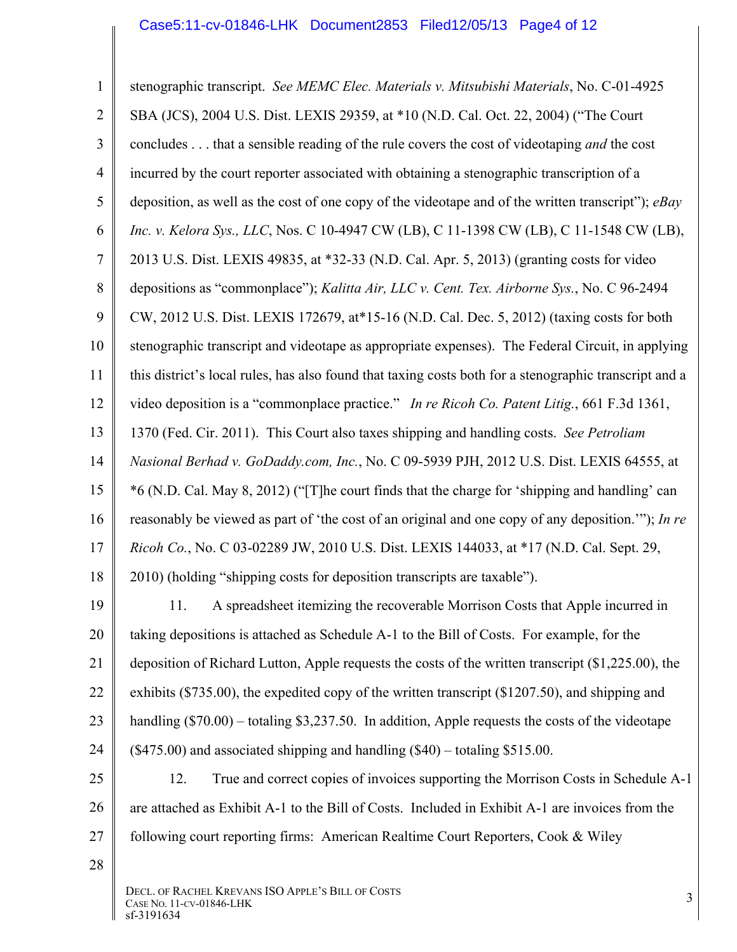1 2 3 4 5 6 7 8 9 10 11 12 13 14 15 16 17 18 19 20 21 22 23 24 25 26 27 28 stenographic transcript. *See MEMC Elec. Materials v. Mitsubishi Materials*, No. C-01-4925 SBA (JCS), 2004 U.S. Dist. LEXIS 29359, at \*10 (N.D. Cal. Oct. 22, 2004) ("The Court concludes . . . that a sensible reading of the rule covers the cost of videotaping *and* the cost incurred by the court reporter associated with obtaining a stenographic transcription of a deposition, as well as the cost of one copy of the videotape and of the written transcript"); *eBay Inc. v. Kelora Sys., LLC*, Nos. C 10-4947 CW (LB), C 11-1398 CW (LB), C 11-1548 CW (LB), 2013 U.S. Dist. LEXIS 49835, at \*32-33 (N.D. Cal. Apr. 5, 2013) (granting costs for video depositions as "commonplace"); *Kalitta Air, LLC v. Cent. Tex. Airborne Sys.*, No. C 96-2494 CW, 2012 U.S. Dist. LEXIS 172679, at\*15-16 (N.D. Cal. Dec. 5, 2012) (taxing costs for both stenographic transcript and videotape as appropriate expenses). The Federal Circuit, in applying this district's local rules, has also found that taxing costs both for a stenographic transcript and a video deposition is a "commonplace practice." *In re Ricoh Co. Patent Litig.*, 661 F.3d 1361, 1370 (Fed. Cir. 2011). This Court also taxes shipping and handling costs. *See Petroliam Nasional Berhad v. GoDaddy.com, Inc.*, No. C 09-5939 PJH, 2012 U.S. Dist. LEXIS 64555, at \*6 (N.D. Cal. May 8, 2012) ("[T]he court finds that the charge for 'shipping and handling' can reasonably be viewed as part of 'the cost of an original and one copy of any deposition.'"); *In re Ricoh Co.*, No. C 03-02289 JW, 2010 U.S. Dist. LEXIS 144033, at \*17 (N.D. Cal. Sept. 29, 2010) (holding "shipping costs for deposition transcripts are taxable"). 11. A spreadsheet itemizing the recoverable Morrison Costs that Apple incurred in taking depositions is attached as Schedule A-1 to the Bill of Costs. For example, for the deposition of Richard Lutton, Apple requests the costs of the written transcript (\$1,225.00), the exhibits (\$735.00), the expedited copy of the written transcript (\$1207.50), and shipping and handling (\$70.00) – totaling \$3,237.50. In addition, Apple requests the costs of the videotape (\$475.00) and associated shipping and handling (\$40) – totaling \$515.00. 12. True and correct copies of invoices supporting the Morrison Costs in Schedule A-1 are attached as Exhibit A-1 to the Bill of Costs. Included in Exhibit A-1 are invoices from the following court reporting firms: American Realtime Court Reporters, Cook & Wiley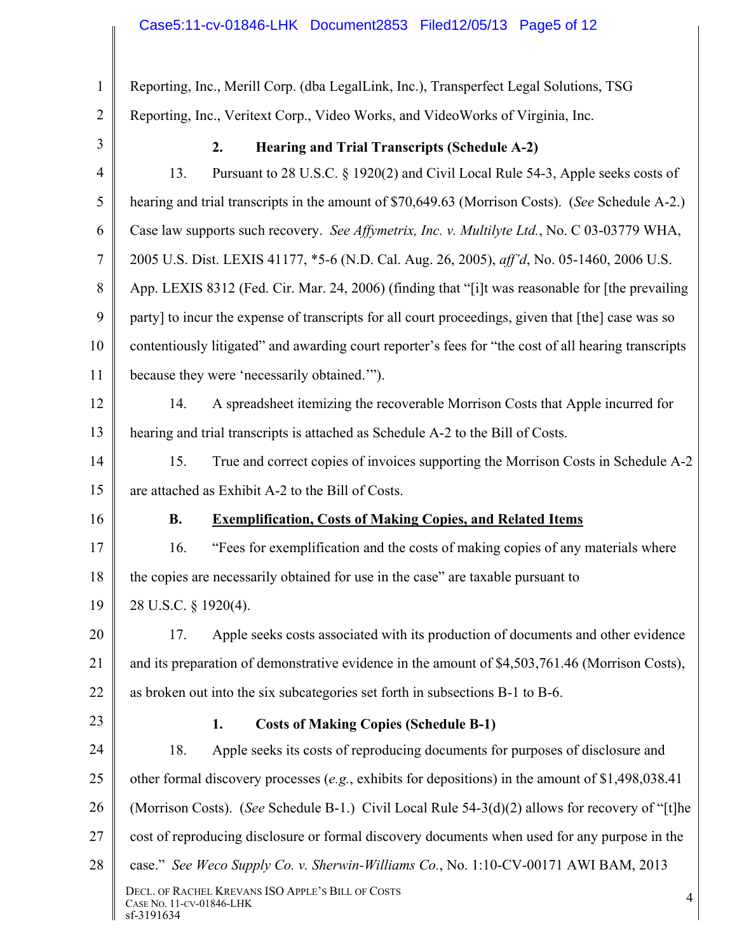| $\mathbf{1}$   | Reporting, Inc., Merill Corp. (dba LegalLink, Inc.), Transperfect Legal Solutions, TSG               |
|----------------|------------------------------------------------------------------------------------------------------|
| $\overline{2}$ | Reporting, Inc., Veritext Corp., Video Works, and VideoWorks of Virginia, Inc.                       |
| 3              | 2.<br><b>Hearing and Trial Transcripts (Schedule A-2)</b>                                            |
| $\overline{4}$ | Pursuant to 28 U.S.C. § 1920(2) and Civil Local Rule 54-3, Apple seeks costs of<br>13.               |
| 5              | hearing and trial transcripts in the amount of \$70,649.63 (Morrison Costs). (See Schedule A-2.)     |
| 6              | Case law supports such recovery. See Affymetrix, Inc. v. Multilyte Ltd., No. C 03-03779 WHA,         |
| $\tau$         | 2005 U.S. Dist. LEXIS 41177, *5-6 (N.D. Cal. Aug. 26, 2005), aff'd, No. 05-1460, 2006 U.S.           |
| 8              | App. LEXIS 8312 (Fed. Cir. Mar. 24, 2006) (finding that "[i]t was reasonable for [the prevailing     |
| 9              | party] to incur the expense of transcripts for all court proceedings, given that [the] case was so   |
| 10             | contentiously litigated" and awarding court reporter's fees for "the cost of all hearing transcripts |
| 11             | because they were 'necessarily obtained."").                                                         |
| 12             | A spreadsheet itemizing the recoverable Morrison Costs that Apple incurred for<br>14.                |
| 13             | hearing and trial transcripts is attached as Schedule A-2 to the Bill of Costs.                      |
| 14             | 15.<br>True and correct copies of invoices supporting the Morrison Costs in Schedule A-2             |
| 15             | are attached as Exhibit A-2 to the Bill of Costs.                                                    |
| 16             | <b>B.</b><br><b>Exemplification, Costs of Making Copies, and Related Items</b>                       |
| 17             | "Fees for exemplification and the costs of making copies of any materials where<br>16.               |
| 18             | the copies are necessarily obtained for use in the case" are taxable pursuant to                     |
| 19             | 28 U.S.C. § 1920(4).                                                                                 |
| 20             | Apple seeks costs associated with its production of documents and other evidence<br>17.              |
| 21             | and its preparation of demonstrative evidence in the amount of \$4,503,761.46 (Morrison Costs),      |
| 22             | as broken out into the six subcategories set forth in subsections B-1 to B-6.                        |
| 23             | <b>Costs of Making Copies (Schedule B-1)</b><br>1.                                                   |
| 24             | Apple seeks its costs of reproducing documents for purposes of disclosure and<br>18.                 |
| 25             | other formal discovery processes (e.g., exhibits for depositions) in the amount of $$1,498,038.41$   |
| 26             | (Morrison Costs). (See Schedule B-1.) Civil Local Rule 54-3(d)(2) allows for recovery of "[t]he      |
| 27             | cost of reproducing disclosure or formal discovery documents when used for any purpose in the        |
| 28             | case." See Weco Supply Co. v. Sherwin-Williams Co., No. 1:10-CV-00171 AWI BAM, 2013                  |
|                | DECL. OF RACHEL KREVANS ISO APPLE'S BILL OF COSTS<br>4<br>CASE NO. 11-CV-01846-LHK<br>sf-3191634     |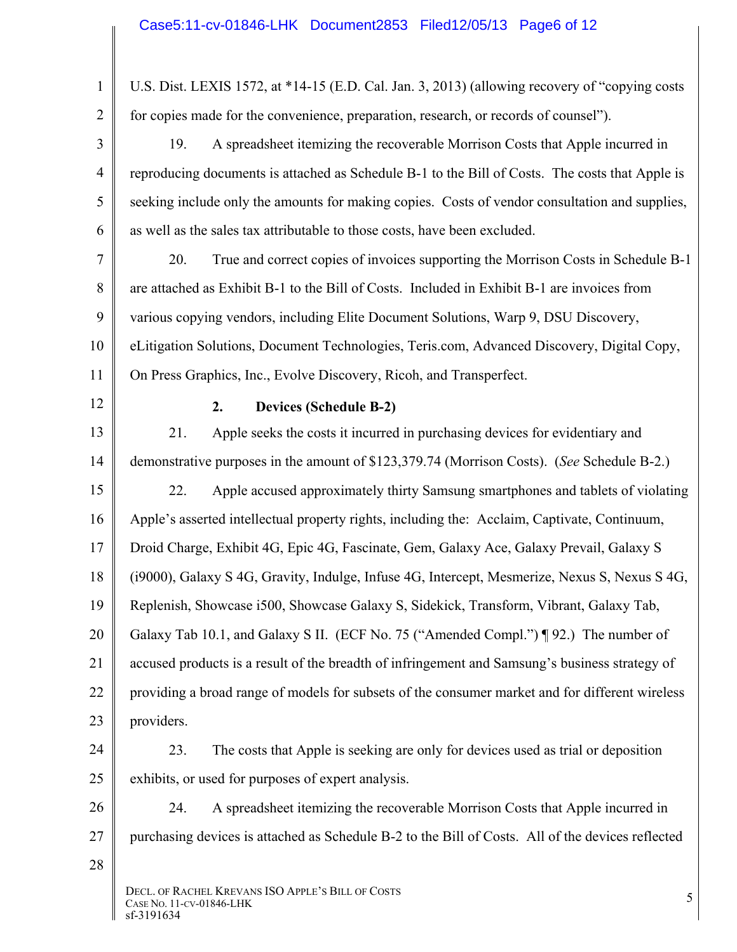1 2 3 4 5 6 7 8 9 10 11 12 13 14 15 16 17 18 19 20 21 22 23 24 25 26 27 28 DECL. OF RACHEL KREVANS ISO APPLE'S BILL OF COSTS DECL. OF NACHEL NKEVANS ISO APPLE'S DILL OF COSTS<br>CASE NO. 11-CV-01846-LHK 5 sf-3191634 U.S. Dist. LEXIS 1572, at \*14-15 (E.D. Cal. Jan. 3, 2013) (allowing recovery of "copying costs for copies made for the convenience, preparation, research, or records of counsel"). 19. A spreadsheet itemizing the recoverable Morrison Costs that Apple incurred in reproducing documents is attached as Schedule B-1 to the Bill of Costs. The costs that Apple is seeking include only the amounts for making copies. Costs of vendor consultation and supplies, as well as the sales tax attributable to those costs, have been excluded. 20. True and correct copies of invoices supporting the Morrison Costs in Schedule B-1 are attached as Exhibit B-1 to the Bill of Costs. Included in Exhibit B-1 are invoices from various copying vendors, including Elite Document Solutions, Warp 9, DSU Discovery, eLitigation Solutions, Document Technologies, Teris.com, Advanced Discovery, Digital Copy, On Press Graphics, Inc., Evolve Discovery, Ricoh, and Transperfect. **2. Devices (Schedule B-2)**  21. Apple seeks the costs it incurred in purchasing devices for evidentiary and demonstrative purposes in the amount of \$123,379.74 (Morrison Costs). (*See* Schedule B-2.) 22. Apple accused approximately thirty Samsung smartphones and tablets of violating Apple's asserted intellectual property rights, including the: Acclaim, Captivate, Continuum, Droid Charge, Exhibit 4G, Epic 4G, Fascinate, Gem, Galaxy Ace, Galaxy Prevail, Galaxy S (i9000), Galaxy S 4G, Gravity, Indulge, Infuse 4G, Intercept, Mesmerize, Nexus S, Nexus S 4G, Replenish, Showcase i500, Showcase Galaxy S, Sidekick, Transform, Vibrant, Galaxy Tab, Galaxy Tab 10.1, and Galaxy S II. (ECF No. 75 ("Amended Compl.") ¶ 92.) The number of accused products is a result of the breadth of infringement and Samsung's business strategy of providing a broad range of models for subsets of the consumer market and for different wireless providers. 23. The costs that Apple is seeking are only for devices used as trial or deposition exhibits, or used for purposes of expert analysis. 24. A spreadsheet itemizing the recoverable Morrison Costs that Apple incurred in purchasing devices is attached as Schedule B-2 to the Bill of Costs. All of the devices reflected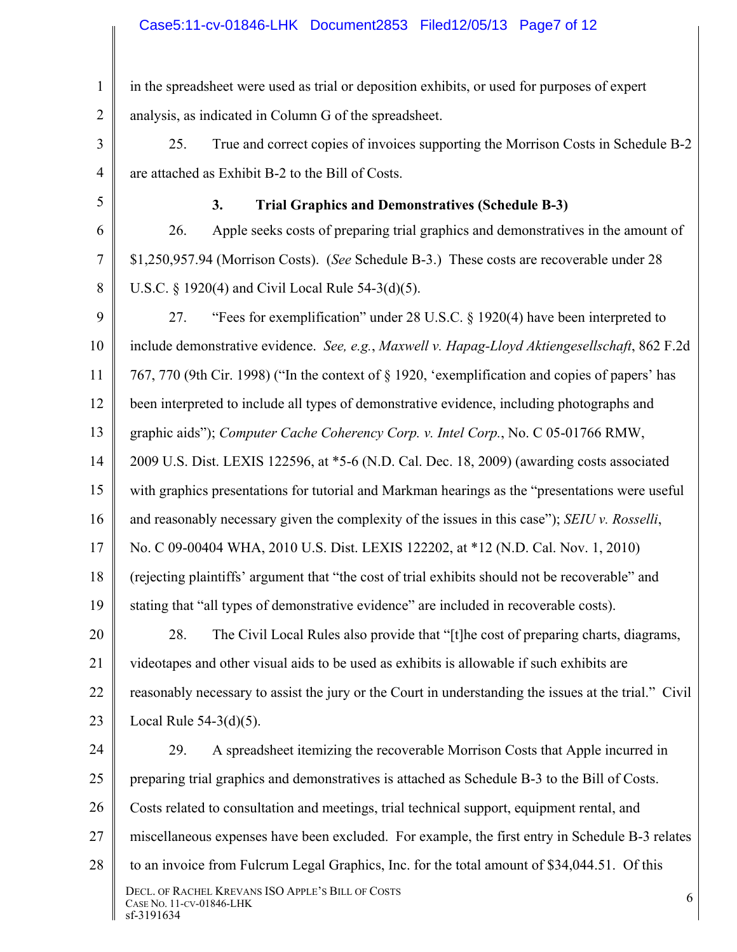1 2 in the spreadsheet were used as trial or deposition exhibits, or used for purposes of expert analysis, as indicated in Column G of the spreadsheet.

3 4 25. True and correct copies of invoices supporting the Morrison Costs in Schedule B-2 are attached as Exhibit B-2 to the Bill of Costs.

5

### **3. Trial Graphics and Demonstratives (Schedule B-3)**

6 7 8 26. Apple seeks costs of preparing trial graphics and demonstratives in the amount of \$1,250,957.94 (Morrison Costs). (*See* Schedule B-3.) These costs are recoverable under 28 U.S.C. § 1920(4) and Civil Local Rule 54-3(d)(5).

9 10 11 12 13 14 15 16 17 18 19 20 21 22 23 27. "Fees for exemplification" under 28 U.S.C. § 1920(4) have been interpreted to include demonstrative evidence. *See, e.g.*, *Maxwell v. Hapag-Lloyd Aktiengesellschaft*, 862 F.2d 767, 770 (9th Cir. 1998) ("In the context of § 1920, 'exemplification and copies of papers' has been interpreted to include all types of demonstrative evidence, including photographs and graphic aids"); *Computer Cache Coherency Corp. v. Intel Corp.*, No. C 05-01766 RMW, 2009 U.S. Dist. LEXIS 122596, at \*5-6 (N.D. Cal. Dec. 18, 2009) (awarding costs associated with graphics presentations for tutorial and Markman hearings as the "presentations were useful and reasonably necessary given the complexity of the issues in this case"); *SEIU v. Rosselli*, No. C 09-00404 WHA, 2010 U.S. Dist. LEXIS 122202, at \*12 (N.D. Cal. Nov. 1, 2010) (rejecting plaintiffs' argument that "the cost of trial exhibits should not be recoverable" and stating that "all types of demonstrative evidence" are included in recoverable costs). 28. The Civil Local Rules also provide that "[t]he cost of preparing charts, diagrams, videotapes and other visual aids to be used as exhibits is allowable if such exhibits are reasonably necessary to assist the jury or the Court in understanding the issues at the trial." Civil Local Rule 54-3(d)(5).

24 25 26 27 28 DECL. OF RACHEL KREVANS ISO APPLE'S BILL OF COSTS DECL. OF NACHEL NKEVANS ISO APPLE'S DILL OF COSTS<br>CASE NO. 11-CV-01846-LHK 6 sf-3191634 29. A spreadsheet itemizing the recoverable Morrison Costs that Apple incurred in preparing trial graphics and demonstratives is attached as Schedule B-3 to the Bill of Costs. Costs related to consultation and meetings, trial technical support, equipment rental, and miscellaneous expenses have been excluded. For example, the first entry in Schedule B-3 relates to an invoice from Fulcrum Legal Graphics, Inc. for the total amount of \$34,044.51. Of this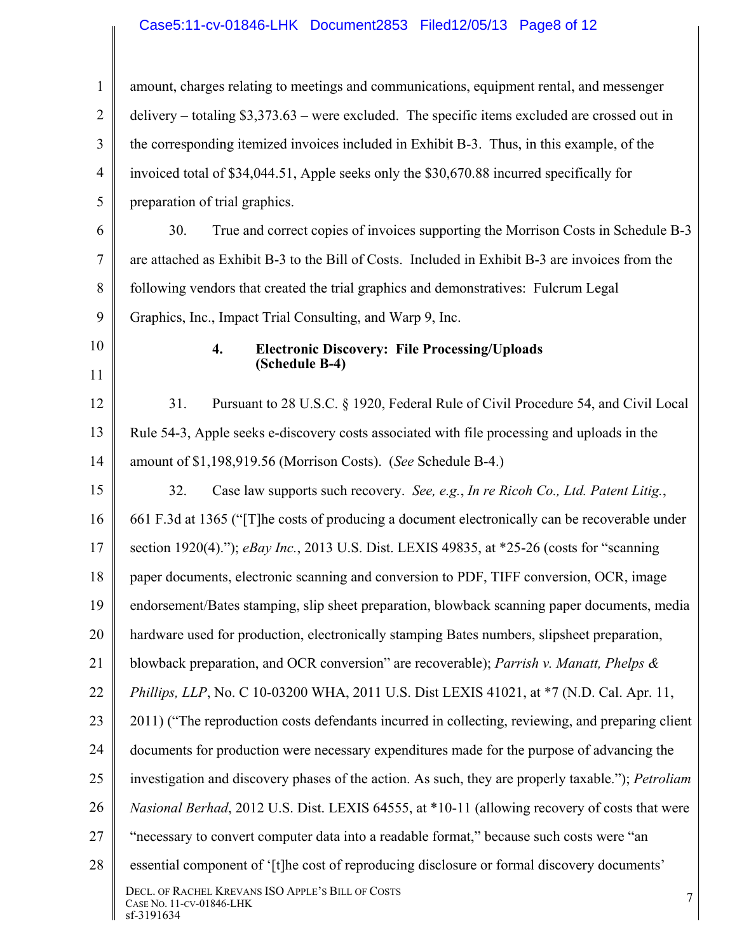# Case5:11-cv-01846-LHK Document2853 Filed12/05/13 Page8 of 12

| $\mathbf{1}$   | amount, charges relating to meetings and communications, equipment rental, and messenger                  |
|----------------|-----------------------------------------------------------------------------------------------------------|
| $\overline{2}$ | delivery – totaling $$3,373.63$ – were excluded. The specific items excluded are crossed out in           |
| 3              | the corresponding itemized invoices included in Exhibit B-3. Thus, in this example, of the                |
| 4              | invoiced total of \$34,044.51, Apple seeks only the \$30,670.88 incurred specifically for                 |
| 5              | preparation of trial graphics.                                                                            |
| 6              | True and correct copies of invoices supporting the Morrison Costs in Schedule B-3<br>30.                  |
| 7              | are attached as Exhibit B-3 to the Bill of Costs. Included in Exhibit B-3 are invoices from the           |
| 8              | following vendors that created the trial graphics and demonstratives: Fulcrum Legal                       |
| 9              | Graphics, Inc., Impact Trial Consulting, and Warp 9, Inc.                                                 |
| 10             | 4.<br><b>Electronic Discovery: File Processing/Uploads</b>                                                |
| 11             | (Schedule B-4)                                                                                            |
| 12             | Pursuant to 28 U.S.C. § 1920, Federal Rule of Civil Procedure 54, and Civil Local<br>31.                  |
| 13             | Rule 54-3, Apple seeks e-discovery costs associated with file processing and uploads in the               |
| 14             | amount of \$1,198,919.56 (Morrison Costs). (See Schedule B-4.)                                            |
| 15             | 32.<br>Case law supports such recovery. See, e.g., In re Ricoh Co., Ltd. Patent Litig.,                   |
| 16             | 661 F.3d at 1365 ("[T] he costs of producing a document electronically can be recoverable under           |
| 17             | section 1920(4)."); eBay Inc., 2013 U.S. Dist. LEXIS 49835, at *25-26 (costs for "scanning                |
| 18             | paper documents, electronic scanning and conversion to PDF, TIFF conversion, OCR, image                   |
| 19             | endorsement/Bates stamping, slip sheet preparation, blowback scanning paper documents, media              |
| 20             | hardware used for production, electronically stamping Bates numbers, slipsheet preparation,               |
| 21             | blowback preparation, and OCR conversion" are recoverable); Parrish v. Manatt, Phelps $\&$                |
| 22             | Phillips, LLP, No. C 10-03200 WHA, 2011 U.S. Dist LEXIS 41021, at *7 (N.D. Cal. Apr. 11,                  |
| 23             | 2011) ("The reproduction costs defendants incurred in collecting, reviewing, and preparing client         |
| 24             | documents for production were necessary expenditures made for the purpose of advancing the                |
| 25             | investigation and discovery phases of the action. As such, they are properly taxable."); <i>Petroliam</i> |
| 26             | <i>Nasional Berhad</i> , 2012 U.S. Dist. LEXIS 64555, at *10-11 (allowing recovery of costs that were     |
| 27             | "necessary to convert computer data into a readable format," because such costs were "an                  |
| 28             | essential component of '[t]he cost of reproducing disclosure or formal discovery documents'               |
|                | DECL. OF RACHEL KREVANS ISO APPLE'S BILL OF COSTS<br>7<br>CASE NO. 11-CV-01846-LHK<br>sf-3191634          |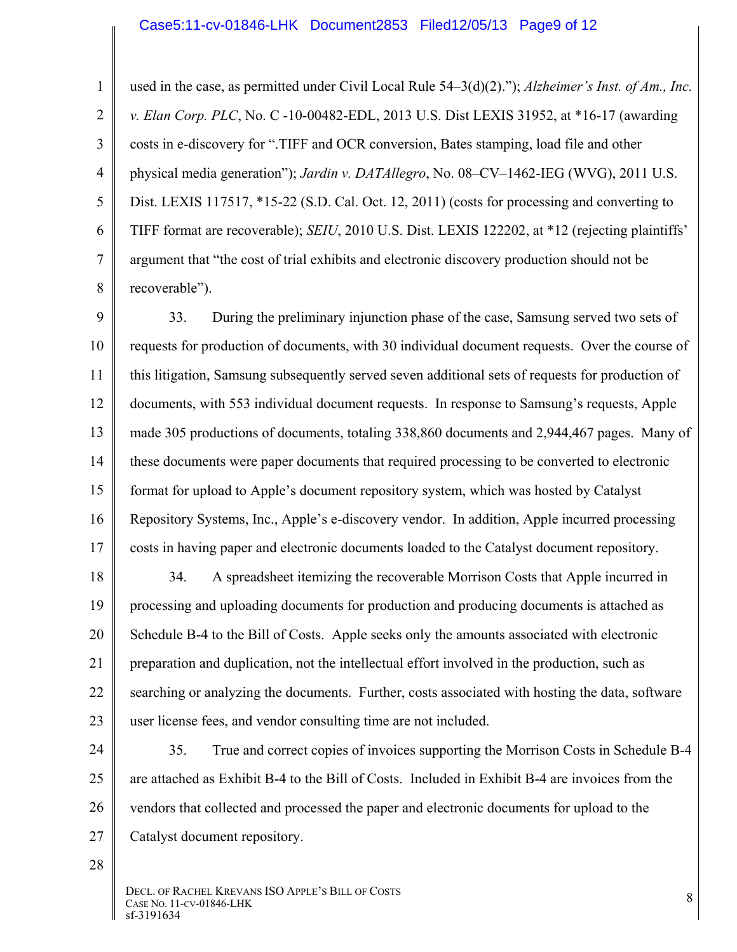#### Case5:11-cv-01846-LHK Document2853 Filed12/05/13 Page9 of 12

1 2 3 4 5 6 7 8 used in the case, as permitted under Civil Local Rule 54–3(d)(2)."); *Alzheimer's Inst. of Am., Inc. v. Elan Corp. PLC*, No. C -10-00482-EDL, 2013 U.S. Dist LEXIS 31952, at \*16-17 (awarding costs in e-discovery for ".TIFF and OCR conversion, Bates stamping, load file and other physical media generation"); *Jardin v. DATAllegro*, No. 08–CV–1462-IEG (WVG), 2011 U.S. Dist. LEXIS 117517, \*15-22 (S.D. Cal. Oct. 12, 2011) (costs for processing and converting to TIFF format are recoverable); *SEIU*, 2010 U.S. Dist. LEXIS 122202, at \*12 (rejecting plaintiffs' argument that "the cost of trial exhibits and electronic discovery production should not be recoverable").

9 10 11 12 13 14 15 16 17 33. During the preliminary injunction phase of the case, Samsung served two sets of requests for production of documents, with 30 individual document requests. Over the course of this litigation, Samsung subsequently served seven additional sets of requests for production of documents, with 553 individual document requests. In response to Samsung's requests, Apple made 305 productions of documents, totaling 338,860 documents and 2,944,467 pages. Many of these documents were paper documents that required processing to be converted to electronic format for upload to Apple's document repository system, which was hosted by Catalyst Repository Systems, Inc., Apple's e-discovery vendor. In addition, Apple incurred processing costs in having paper and electronic documents loaded to the Catalyst document repository.

18 19 20 21 22 23 34. A spreadsheet itemizing the recoverable Morrison Costs that Apple incurred in processing and uploading documents for production and producing documents is attached as Schedule B-4 to the Bill of Costs. Apple seeks only the amounts associated with electronic preparation and duplication, not the intellectual effort involved in the production, such as searching or analyzing the documents. Further, costs associated with hosting the data, software user license fees, and vendor consulting time are not included.

24 25 26 27 35. True and correct copies of invoices supporting the Morrison Costs in Schedule B-4 are attached as Exhibit B-4 to the Bill of Costs. Included in Exhibit B-4 are invoices from the vendors that collected and processed the paper and electronic documents for upload to the Catalyst document repository.

28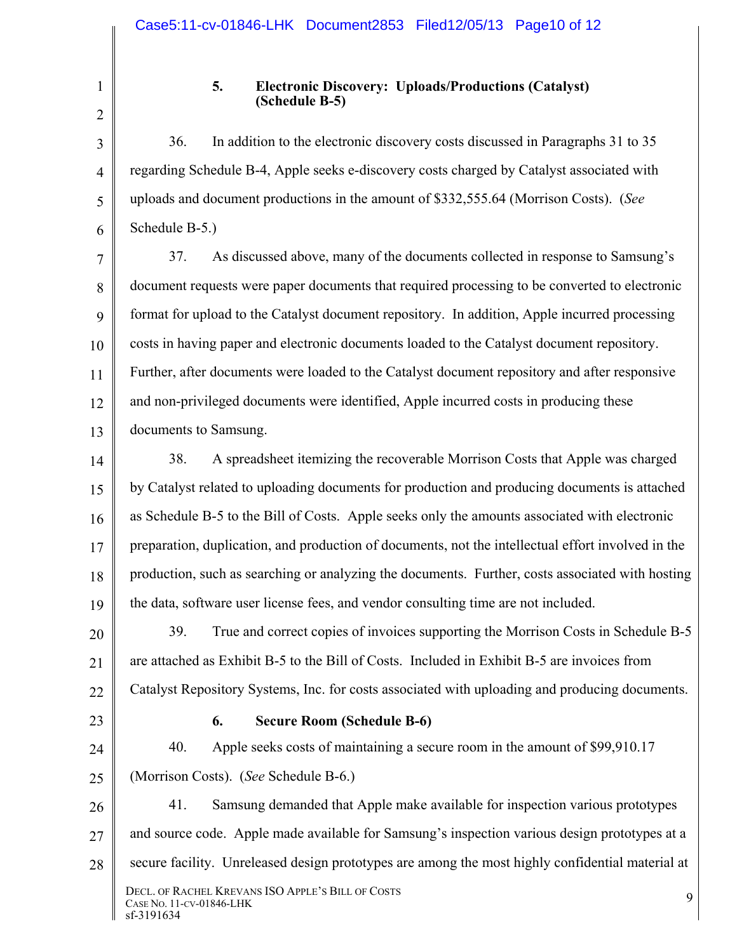2

3

4

5

6

1

### **5. Electronic Discovery: Uploads/Productions (Catalyst) (Schedule B-5)**

36. In addition to the electronic discovery costs discussed in Paragraphs 31 to 35 regarding Schedule B-4, Apple seeks e-discovery costs charged by Catalyst associated with uploads and document productions in the amount of \$332,555.64 (Morrison Costs). (*See* Schedule B-5.)

7 8 9 10 11 12 13 37. As discussed above, many of the documents collected in response to Samsung's document requests were paper documents that required processing to be converted to electronic format for upload to the Catalyst document repository. In addition, Apple incurred processing costs in having paper and electronic documents loaded to the Catalyst document repository. Further, after documents were loaded to the Catalyst document repository and after responsive and non-privileged documents were identified, Apple incurred costs in producing these documents to Samsung.

14 15 16 17 18 19 38. A spreadsheet itemizing the recoverable Morrison Costs that Apple was charged by Catalyst related to uploading documents for production and producing documents is attached as Schedule B-5 to the Bill of Costs. Apple seeks only the amounts associated with electronic preparation, duplication, and production of documents, not the intellectual effort involved in the production, such as searching or analyzing the documents. Further, costs associated with hosting the data, software user license fees, and vendor consulting time are not included.

20 21 22 39. True and correct copies of invoices supporting the Morrison Costs in Schedule B-5 are attached as Exhibit B-5 to the Bill of Costs. Included in Exhibit B-5 are invoices from Catalyst Repository Systems, Inc. for costs associated with uploading and producing documents.

23

### **6. Secure Room (Schedule B-6)**

24 25 40. Apple seeks costs of maintaining a secure room in the amount of \$99,910.17 (Morrison Costs). (*See* Schedule B-6.)

26 27 28 DECL. OF RACHEL KREVANS ISO APPLE'S BILL OF COSTS DECL. OF KACHEL KKEVANS ISO APPLE'S BILL OF COSTS<br>CASE NO. 11-CV-01846-LHK 9 sf-3191634 41. Samsung demanded that Apple make available for inspection various prototypes and source code. Apple made available for Samsung's inspection various design prototypes at a secure facility. Unreleased design prototypes are among the most highly confidential material at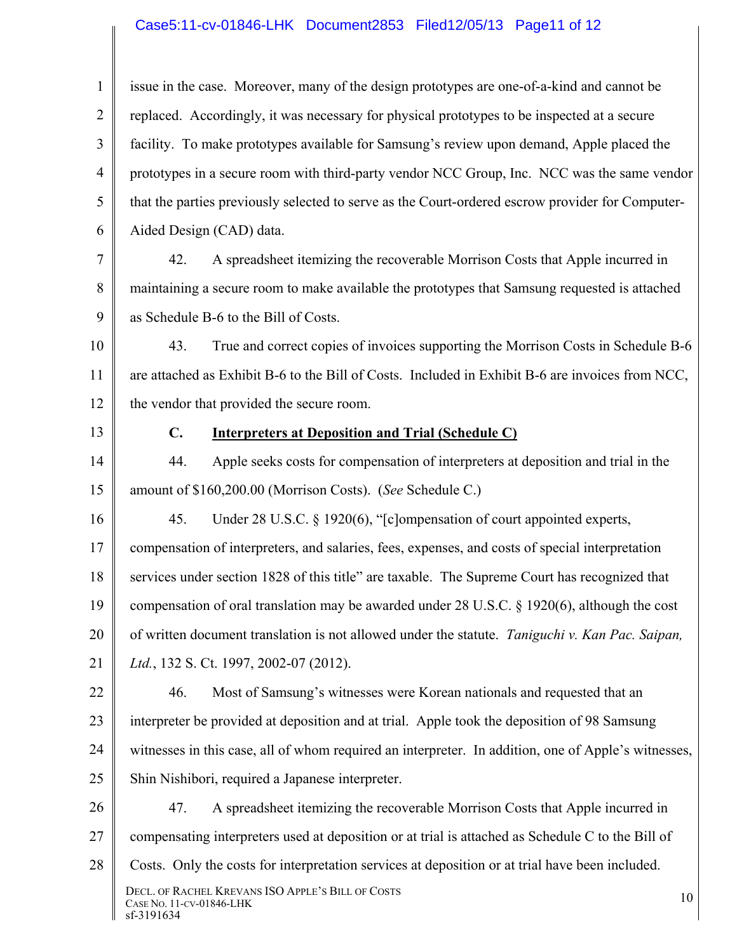# Case5:11-cv-01846-LHK Document2853 Filed12/05/13 Page11 of 12

| 1              | issue in the case. Moreover, many of the design prototypes are one-of-a-kind and cannot be          |
|----------------|-----------------------------------------------------------------------------------------------------|
| $\overline{2}$ | replaced. Accordingly, it was necessary for physical prototypes to be inspected at a secure         |
| 3              | facility. To make prototypes available for Samsung's review upon demand, Apple placed the           |
| 4              | prototypes in a secure room with third-party vendor NCC Group, Inc. NCC was the same vendor         |
| 5              | that the parties previously selected to serve as the Court-ordered escrow provider for Computer-    |
| 6              | Aided Design (CAD) data.                                                                            |
| 7              | 42.<br>A spreadsheet itemizing the recoverable Morrison Costs that Apple incurred in                |
| 8              | maintaining a secure room to make available the prototypes that Samsung requested is attached       |
| 9              | as Schedule B-6 to the Bill of Costs.                                                               |
| 10             | 43.<br>True and correct copies of invoices supporting the Morrison Costs in Schedule B-6            |
| 11             | are attached as Exhibit B-6 to the Bill of Costs. Included in Exhibit B-6 are invoices from NCC,    |
| 12             | the vendor that provided the secure room.                                                           |
| 13             | $\mathbf{C}$ .<br><b>Interpreters at Deposition and Trial (Schedule C)</b>                          |
| 14             | Apple seeks costs for compensation of interpreters at deposition and trial in the<br>44.            |
| 15             | amount of \$160,200.00 (Morrison Costs). (See Schedule C.)                                          |
| 16             | 45.<br>Under 28 U.S.C. § 1920(6), "[c]ompensation of court appointed experts,                       |
| 17             | compensation of interpreters, and salaries, fees, expenses, and costs of special interpretation     |
| 18             | services under section 1828 of this title" are taxable. The Supreme Court has recognized that       |
| 19             | compensation of oral translation may be awarded under 28 U.S.C. § 1920(6), although the cost        |
| 20             | of written document translation is not allowed under the statute. Taniguchi v. Kan Pac. Saipan,     |
| 21             | Ltd., 132 S. Ct. 1997, 2002-07 (2012).                                                              |
| 22             | Most of Samsung's witnesses were Korean nationals and requested that an<br>46.                      |
| 23             | interpreter be provided at deposition and at trial. Apple took the deposition of 98 Samsung         |
| 24             | witnesses in this case, all of whom required an interpreter. In addition, one of Apple's witnesses, |
| 25             | Shin Nishibori, required a Japanese interpreter.                                                    |
| 26             | A spreadsheet itemizing the recoverable Morrison Costs that Apple incurred in<br>47.                |
| 27             | compensating interpreters used at deposition or at trial is attached as Schedule C to the Bill of   |
| 28             | Costs. Only the costs for interpretation services at deposition or at trial have been included.     |
|                | DECL. OF RACHEL KREVANS ISO APPLE'S BILL OF COSTS<br>10<br>CASE NO. 11-CV-01846-LHK<br>sf-3191634   |